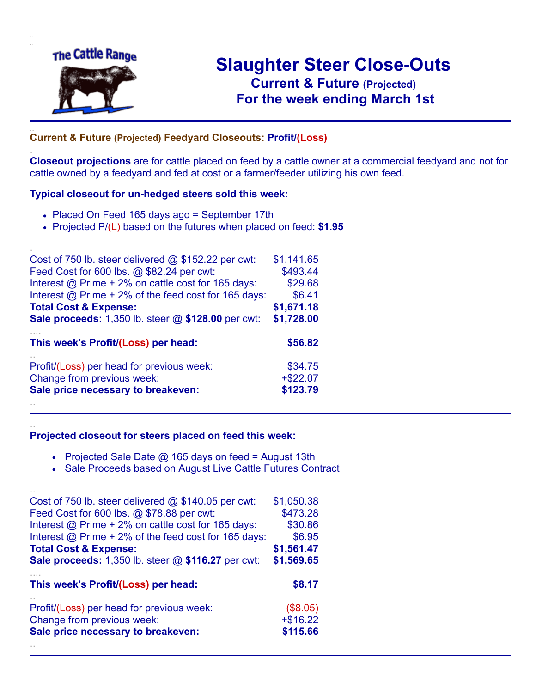

.

..

# **Slaughter Steer Close-Outs Current & Future (Projected)** .**For the week ending March 1st**

## ... **Current & Future (Projected) Feedyard Closeouts: Profit/(Loss)**

**Closeout projections** are for cattle placed on feed by a cattle owner at a commercial feedyard and not for cattle owned by a feedyard and fed at cost or a farmer/feeder utilizing his own feed.

#### **Typical closeout for un-hedged steers sold this week:**

- Placed On Feed 165 days ago = September 17th
- Projected P/(L) based on the futures when placed on feed: **\$1.95**

| Cost of 750 lb. steer delivered @ \$152.22 per cwt:       | \$1,141.65  |
|-----------------------------------------------------------|-------------|
| Feed Cost for 600 lbs. @ \$82.24 per cwt:                 | \$493.44    |
| Interest @ Prime + 2% on cattle cost for 165 days:        | \$29.68     |
| Interest @ Prime + 2% of the feed cost for 165 days:      | \$6.41      |
| <b>Total Cost &amp; Expense:</b>                          | \$1,671.18  |
| <b>Sale proceeds:</b> 1,350 lb. steer @ \$128.00 per cwt: | \$1,728.00  |
| This week's Profit/(Loss) per head:                       | \$56.82     |
| Profit/(Loss) per head for previous week:                 | \$34.75     |
| Change from previous week:                                | $+$ \$22.07 |
| Sale price necessary to breakeven:                        | \$123.79    |
|                                                           |             |

### **Projected closeout for steers placed on feed this week:**

- Projected Sale Date @ 165 days on feed = August 13th
- Sale Proceeds based on August Live Cattle Futures Contract

| Cost of 750 lb. steer delivered $@$ \$140.05 per cwt:                   | \$1,050.38             |
|-------------------------------------------------------------------------|------------------------|
| Feed Cost for 600 lbs. @ \$78.88 per cwt:                               | \$473.28               |
| Interest @ Prime + 2% on cattle cost for 165 days:                      | \$30.86                |
| Interest @ Prime + 2% of the feed cost for 165 days:                    | \$6.95                 |
| <b>Total Cost &amp; Expense:</b>                                        | \$1,561.47             |
| <b>Sale proceeds:</b> 1,350 lb. steer @ \$116.27 per cwt:               | \$1,569.65             |
|                                                                         |                        |
|                                                                         |                        |
| This week's Profit/(Loss) per head:                                     | \$8.17                 |
|                                                                         |                        |
| Profit/(Loss) per head for previous week:<br>Change from previous week: | (\$8.05)<br>$+ $16.22$ |
| Sale price necessary to breakeven:                                      | \$115.66               |